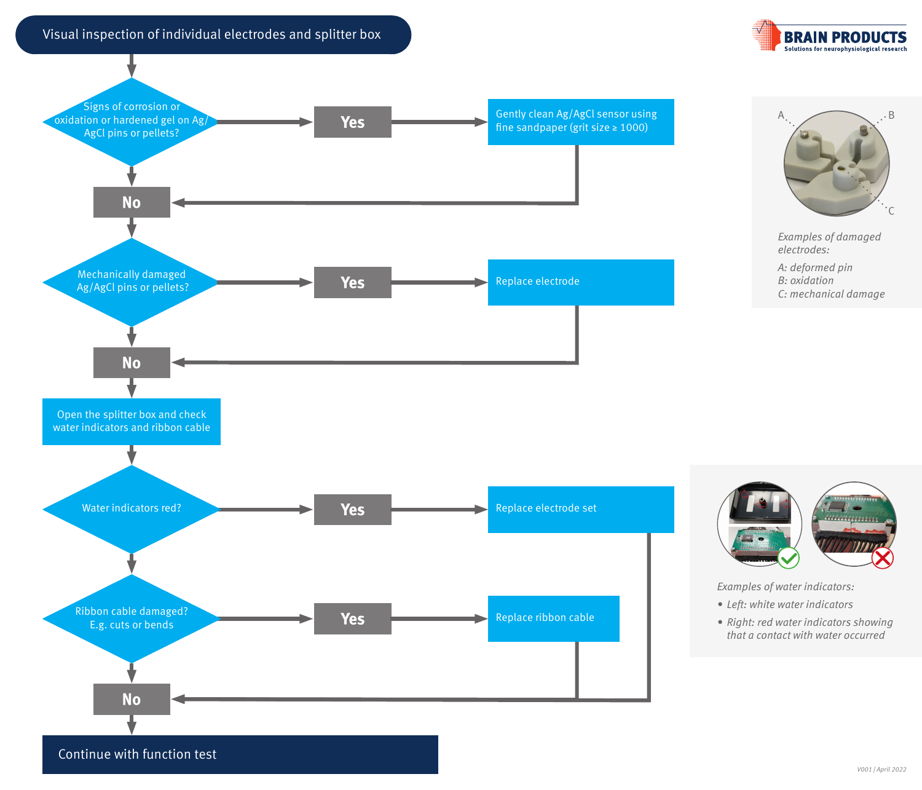## Visual inspection of individual electrodes and splitter box



Continue with function test



*Examples of damaged electrodes:*

*A: deformed pin B: oxidation C: mechanical damage*





*Examples of water indicators:*

- *• Left: white water indicators*
- *• Right: red water indicators showing that a contact with water occurred*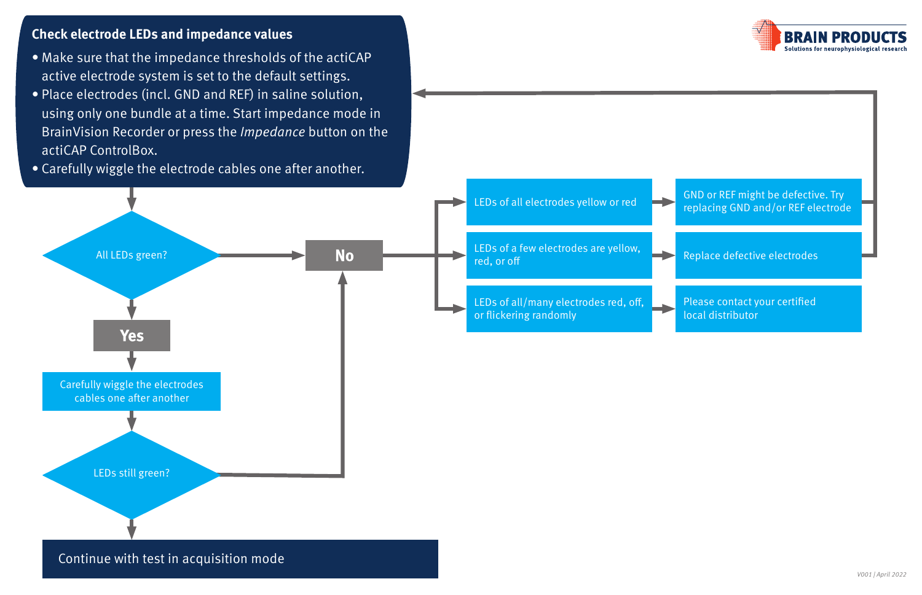### **Check electrode LEDs and impedance values**

- Make sure that the impedance thresholds of the actiCAP active electrode system is set to the default settings.
- Place electrodes (incl. GND and REF) in saline solution, using only one bundle at a time. Start impedance mode in actiCAP ControlBox.
-